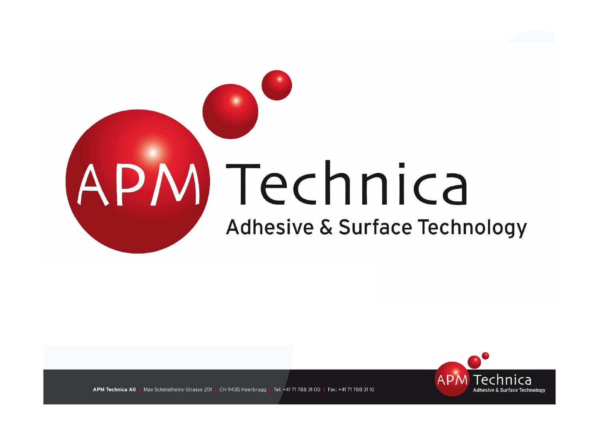



Max-Schmidheiny-Strasse 201 | CH-9435 Heerbrugg | Tel: +41 71 788 31 00 | Fax: +41 71 788 31 10 **APM Technica AG**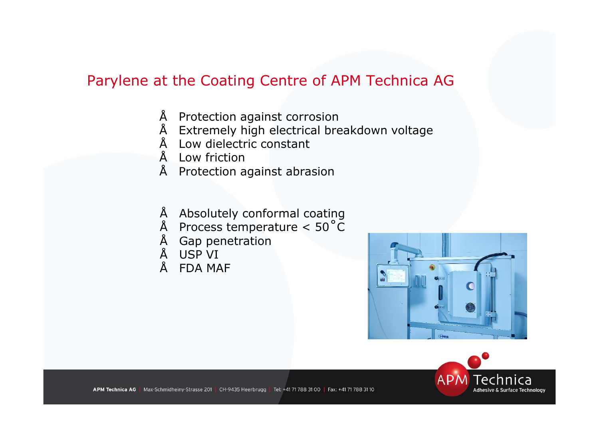## Parylene at the Coating Centre of APM Technica AG

- Protection against corrosion
- Extremely high electrical breakdown voltage
- Low dielectric constant
- Low friction
- Protection against abrasion
- Absolutely conformal coating
- $\degree$  Process temperature < 50 $\degree$ C
- Gap penetration
- USP VI
- FDA MAF



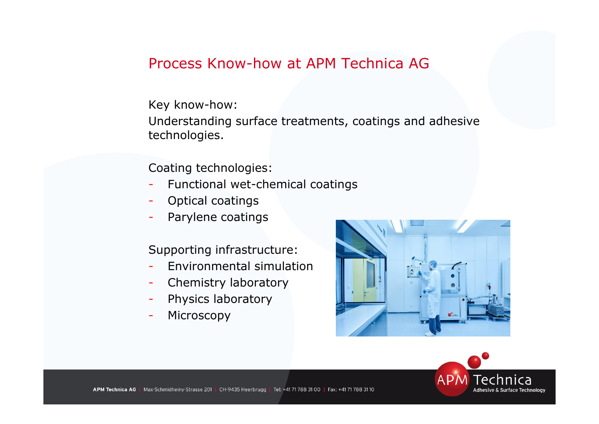## Process Know-how at APM Technica AG

Key know-how:

Understanding surface treatments, coatings and adhesive technologies.

Coating technologies:

- Functional wet-chemical coatings
- Optical coatings
- Parylene coatings

Supporting infrastructure:

- Environmental simulation
- Chemistry laboratory
- Physics laboratory
- Microscopy



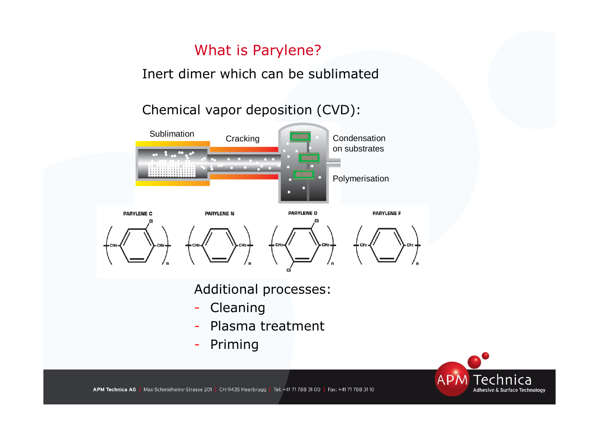## What is Parylene?

Inert dimer which can be sublimated

Chemical vapor deposition (CVD):



Additional processes:

- Cleaning
- Plasma treatment
- Priming